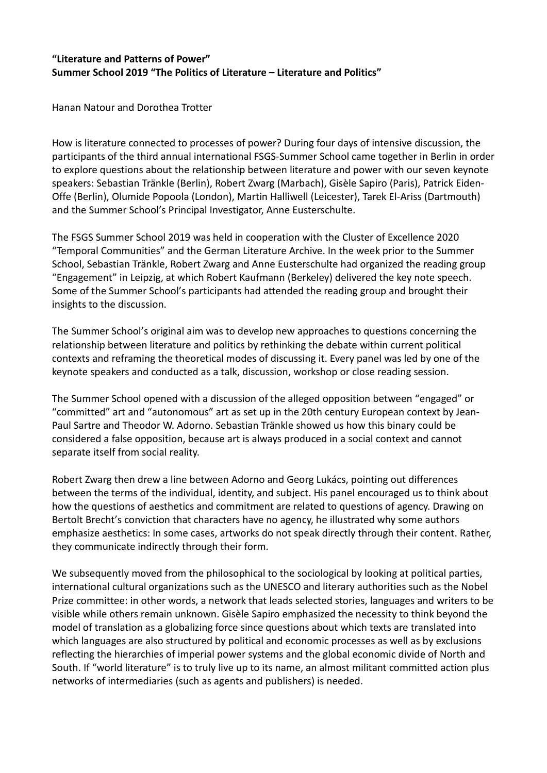## **"Literature and Patterns of Power" Summer School 2019 "The Politics of Literature – Literature and Politics"**

Hanan Natour and Dorothea Trotter

How is literature connected to processes of power? During four days of intensive discussion, the participants of the third annual international FSGS-Summer School came together in Berlin in order to explore questions about the relationship between literature and power with our seven keynote speakers: Sebastian Tränkle (Berlin), Robert Zwarg (Marbach), Gisèle Sapiro (Paris), Patrick Eiden-Offe (Berlin), Olumide Popoola (London), Martin Halliwell (Leicester), Tarek El-Ariss (Dartmouth) and the Summer School's Principal Investigator, Anne Eusterschulte.

The FSGS Summer School 2019 was held in cooperation with the Cluster of Excellence 2020 "Temporal Communities" and the German Literature Archive. In the week prior to the Summer School, Sebastian Tränkle, Robert Zwarg and Anne Eusterschulte had organized the reading group "Engagement" in Leipzig, at which Robert Kaufmann (Berkeley) delivered the key note speech. Some of the Summer School's participants had attended the reading group and brought their insights to the discussion.

The Summer School's original aim was to develop new approaches to questions concerning the relationship between literature and politics by rethinking the debate within current political contexts and reframing the theoretical modes of discussing it. Every panel was led by one of the keynote speakers and conducted as a talk, discussion, workshop or close reading session.

The Summer School opened with a discussion of the alleged opposition between "engaged" or "committed" art and "autonomous" art as set up in the 20th century European context by Jean-Paul Sartre and Theodor W. Adorno. Sebastian Tränkle showed us how this binary could be considered a false opposition, because art is always produced in a social context and cannot separate itself from social reality.

Robert Zwarg then drew a line between Adorno and Georg Lukács, pointing out differences between the terms of the individual, identity, and subject. His panel encouraged us to think about how the questions of aesthetics and commitment are related to questions of agency. Drawing on Bertolt Brecht's conviction that characters have no agency, he illustrated why some authors emphasize aesthetics: In some cases, artworks do not speak directly through their content. Rather, they communicate indirectly through their form.

We subsequently moved from the philosophical to the sociological by looking at political parties, international cultural organizations such as the UNESCO and literary authorities such as the Nobel Prize committee: in other words, a network that leads selected stories, languages and writers to be visible while others remain unknown. Gisèle Sapiro emphasized the necessity to think beyond the model of translation as a globalizing force since questions about which texts are translated into which languages are also structured by political and economic processes as well as by exclusions reflecting the hierarchies of imperial power systems and the global economic divide of North and South. If "world literature" is to truly live up to its name, an almost militant committed action plus networks of intermediaries (such as agents and publishers) is needed.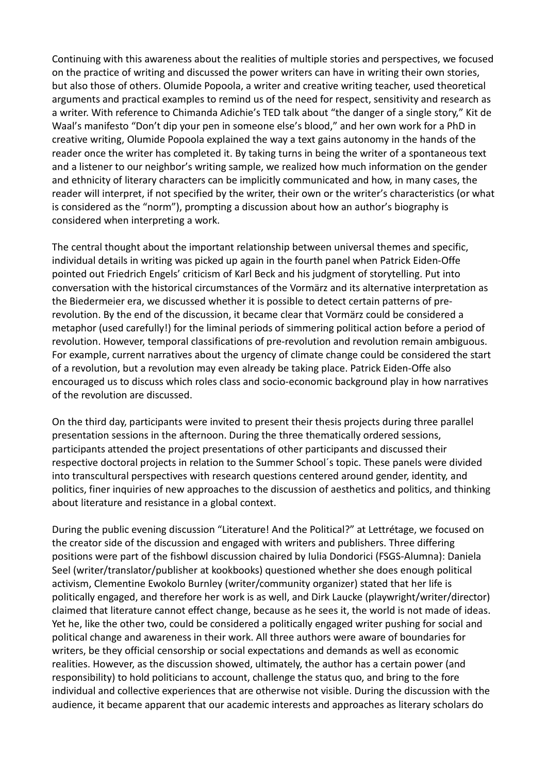Continuing with this awareness about the realities of multiple stories and perspectives, we focused on the practice of writing and discussed the power writers can have in writing their own stories, but also those of others. Olumide Popoola, a writer and creative writing teacher, used theoretical arguments and practical examples to remind us of the need for respect, sensitivity and research as a writer. With reference to Chimanda Adichie's TED talk about "the danger of a single story," Kit de Waal's manifesto "Don't dip your pen in someone else's blood," and her own work for a PhD in creative writing, Olumide Popoola explained the way a text gains autonomy in the hands of the reader once the writer has completed it. By taking turns in being the writer of a spontaneous text and a listener to our neighbor's writing sample, we realized how much information on the gender and ethnicity of literary characters can be implicitly communicated and how, in many cases, the reader will interpret, if not specified by the writer, their own or the writer's characteristics (or what is considered as the "norm"), prompting a discussion about how an author's biography is considered when interpreting a work.

The central thought about the important relationship between universal themes and specific, individual details in writing was picked up again in the fourth panel when Patrick Eiden-Offe pointed out Friedrich Engels' criticism of Karl Beck and his judgment of storytelling. Put into conversation with the historical circumstances of the Vormärz and its alternative interpretation as the Biedermeier era, we discussed whether it is possible to detect certain patterns of prerevolution. By the end of the discussion, it became clear that Vormärz could be considered a metaphor (used carefully!) for the liminal periods of simmering political action before a period of revolution. However, temporal classifications of pre-revolution and revolution remain ambiguous. For example, current narratives about the urgency of climate change could be considered the start of a revolution, but a revolution may even already be taking place. Patrick Eiden-Offe also encouraged us to discuss which roles class and socio-economic background play in how narratives of the revolution are discussed.

On the third day, participants were invited to present their thesis projects during three parallel presentation sessions in the afternoon. During the three thematically ordered sessions, participants attended the project presentations of other participants and discussed their respective doctoral projects in relation to the Summer School´s topic. These panels were divided into transcultural perspectives with research questions centered around gender, identity, and politics, finer inquiries of new approaches to the discussion of aesthetics and politics, and thinking about literature and resistance in a global context.

During the public evening discussion "Literature! And the Political?" at Lettrétage, we focused on the creator side of the discussion and engaged with writers and publishers. Three differing positions were part of the fishbowl discussion chaired by Iulia Dondorici (FSGS-Alumna): Daniela Seel (writer/translator/publisher at kookbooks) questioned whether she does enough political activism, Clementine Ewokolo Burnley (writer/community organizer) stated that her life is politically engaged, and therefore her work is as well, and Dirk Laucke (playwright/writer/director) claimed that literature cannot effect change, because as he sees it, the world is not made of ideas. Yet he, like the other two, could be considered a politically engaged writer pushing for social and political change and awareness in their work. All three authors were aware of boundaries for writers, be they official censorship or social expectations and demands as well as economic realities. However, as the discussion showed, ultimately, the author has a certain power (and responsibility) to hold politicians to account, challenge the status quo, and bring to the fore individual and collective experiences that are otherwise not visible. During the discussion with the audience, it became apparent that our academic interests and approaches as literary scholars do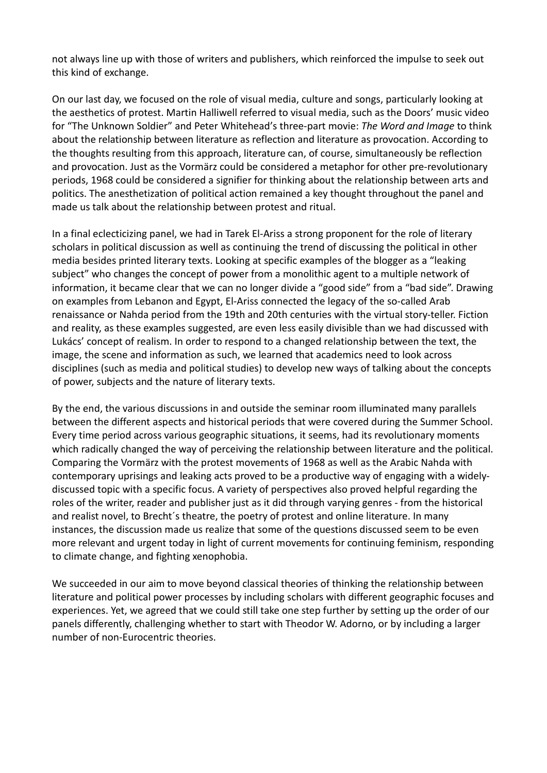not always line up with those of writers and publishers, which reinforced the impulse to seek out this kind of exchange.

On our last day, we focused on the role of visual media, culture and songs, particularly looking at the aesthetics of protest. Martin Halliwell referred to visual media, such as the Doors' music video for "The Unknown Soldier" and Peter Whitehead's three-part movie: *The Word and Image* to think about the relationship between literature as reflection and literature as provocation. According to the thoughts resulting from this approach, literature can, of course, simultaneously be reflection and provocation. Just as the Vormärz could be considered a metaphor for other pre-revolutionary periods, 1968 could be considered a signifier for thinking about the relationship between arts and politics. The anesthetization of political action remained a key thought throughout the panel and made us talk about the relationship between protest and ritual.

In a final eclecticizing panel, we had in Tarek El-Ariss a strong proponent for the role of literary scholars in political discussion as well as continuing the trend of discussing the political in other media besides printed literary texts. Looking at specific examples of the blogger as a "leaking subject" who changes the concept of power from a monolithic agent to a multiple network of information, it became clear that we can no longer divide a "good side" from a "bad side". Drawing on examples from Lebanon and Egypt, El-Ariss connected the legacy of the so-called Arab renaissance or Nahda period from the 19th and 20th centuries with the virtual story-teller. Fiction and reality, as these examples suggested, are even less easily divisible than we had discussed with Lukács' concept of realism. In order to respond to a changed relationship between the text, the image, the scene and information as such, we learned that academics need to look across disciplines (such as media and political studies) to develop new ways of talking about the concepts of power, subjects and the nature of literary texts.

By the end, the various discussions in and outside the seminar room illuminated many parallels between the different aspects and historical periods that were covered during the Summer School. Every time period across various geographic situations, it seems, had its revolutionary moments which radically changed the way of perceiving the relationship between literature and the political. Comparing the Vormärz with the protest movements of 1968 as well as the Arabic Nahda with contemporary uprisings and leaking acts proved to be a productive way of engaging with a widelydiscussed topic with a specific focus. A variety of perspectives also proved helpful regarding the roles of the writer, reader and publisher just as it did through varying genres - from the historical and realist novel, to Brecht´s theatre, the poetry of protest and online literature. In many instances, the discussion made us realize that some of the questions discussed seem to be even more relevant and urgent today in light of current movements for continuing feminism, responding to climate change, and fighting xenophobia.

We succeeded in our aim to move beyond classical theories of thinking the relationship between literature and political power processes by including scholars with different geographic focuses and experiences. Yet, we agreed that we could still take one step further by setting up the order of our panels differently, challenging whether to start with Theodor W. Adorno, or by including a larger number of non-Eurocentric theories.